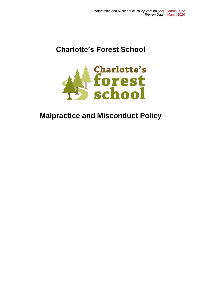# **Charlotte's Forest School**



# **Malpractice and Misconduct Policy**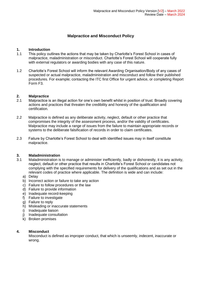# **Malpractice and Misconduct Policy**

### **1. Introduction**

- 1.1 This policy outlines the actions that may be taken by Charlotte's Forest School in cases of malpractice, maladministration or misconduct. Charlotte's Forest School will cooperate fully with external regulators or awarding bodies with any case of this nature.
- 1.2 Charlotte's Forest School will inform the relevant Awarding Organisation/Body of any cases of suspected or actual malpractice, maladministration and misconduct and follow their published procedures. For example; contacting the ITC first Office for urgent advice, or completing Report Form F3.

## **2. Malpractice**

- 2.1 Malpractice is an illegal action for one's own benefit whilst in position of trust. Broadly covering actions and practices that threaten the credibility and honesty of the qualification and certification.
- 2.2 Malpractice is defined as any deliberate activity, neglect, default or other practice that compromises the integrity of the assessment process, and/or the validity of certificates. Malpractice may include a range of issues from the failure to maintain appropriate records or systems to the deliberate falsification of records in order to claim certificates.
- 2.3 Failure by Charlotte's Forest School to deal with identified issues may in itself constitute malpractice.

### **3. Maladministration**

- 3.1 Maladministration is to manage or administer inefficiently, badly or dishonestly, it is any activity, neglect, default or other practice that results in Charlotte's Forest School or candidates not complying with the specified requirements for delivery of the qualifications and as set out in the relevant codes of practice where applicable. The definition is wide and can include:
	- a) Delay
	- b) Incorrect action or failure to take any action
	- c) Failure to follow procedures or the law
	- d) Failure to provide information
	- e) Inadequate record-keeping
	- f) Failure to investigate
	- g) Failure to reply
	- h) Misleading or inaccurate statements
	- i) Inadequate liaison
	- j) Inadequate consultation
	- k) Broken promises

### **4. Misconduct**

Misconduct is defined as improper conduct, that which is unseemly, indecent, inaccurate or wrong.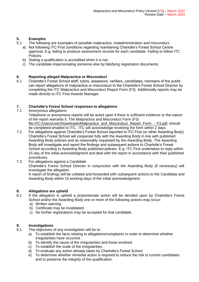# **5. Examples**

- 5.1 The following are examples of possible malpractice, maladministration and misconduct.
	- a) Not following ITC First conditions regarding maintaining Charlotte's Forest School Centre approval. E.g. failing to produce assessment records for each candidate. Failing to follow ITC Policies.
	- b) Stating a qualification is accredited when it is not.
	- c) The candidate impersonating someone else by falsifying registration documents.

## **6. Reporting alleged Malpractice or Misconduct**

6.1 Charlotte's Forest School staff, tutors, assessors, verifiers, candidates, members of the public can report allegations of malpractice or misconduct to the Charlotte's Forest School Director by completing the ITC Malpractice and Misconduct Report Form (F3). Additionally reports may be made directly to ITC First Awards Manager.

# **7. Charlotte's Forest School responses to allegations**

Anonymous allegations

Telephone or anonymous reports will be acted upon if there is sufficient evidence or the nature of the report warrants it. The Malpractice and Misconduct Form (F3) [file:///C:/Users/user/Downloads/Malpractice\\_and\\_Misconduct\\_Report\\_Form\\_-\\_F3.pdf,](file:///C:/Users/user/Downloads/Malpractice_and_Misconduct_Report_Form_-_F3.pdf) should be completed emailed to ITC. ITC will acknowledge receiving the form within 2 days.

- 7.2 For allegations against Charlotte's Forest School reported to ITC First (or other Awarding Body) Charlotte's Forest School will cooperate fully with the Awarding Body in line with published Awarding Body policies and as reasonably requested by the Awarding Body. The Awarding Body will investigate and report the findings and subsequent actions to Charlotte's Forest School according to Awarding Body published policies. E.g. ITC First undertakes to reply within 15 day of the initial acknowledgment and deal with the report in accordance with their published procedures.
- 7.3 For allegations against a Candidate

Charlotte's Forest School Director in conjunction with the Awarding Body (if necessary) will investigate the allegation.

A report of findings will be collated and forwarded with subsequent actions to the Candidate and Awarding Body within 15 working days of the initial acknowledgment.

# **8. Allegations are upheld**

- 8.1 If the allegation is upheld a proportionate action will be decided upon by Charlotte's Forest School and/or the Awarding Body one or more of the following actions may occur:
	- a) Written warning
	- b) Certificate may be invalidated.
	- c) No further registrations may be accepted for that candidate.

# **9. Investigations**

- 9.1 The objectives of any investigation will be to:
	- a) To establish the facts relating to allegations/complaints in order to determine whether irregularities have occurred.
	- b) To identify the cause of the irregularities and those involved.
	- c) To establish the scale of the irregularities.
	- d) To evaluate any action already taken by Charlotte's Forest School
	- e) To determine whether remedial action is required to reduce the risk to current candidates and to preserve the integrity of the qualification.

1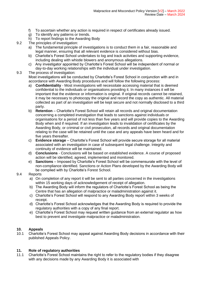- f) To ascertain whether any action is required in respect of certificates already issued.
- g) To identify any patterns or trends.
- h) To report findings to the Awarding Body
- 9.2 The principles of investigation:
	- a) The fundamental principle of investigations is to conduct them in a fair, reasonable and legal manner, ensuring that all relevant evidence is considered without bias.
	- b) Charlotte's Forest School undertakes to log and track activities and supporting evidence, including dealing with whistle blowers and anonymous allegations.
	- c) Any investigator appointed by Charlotte's Forest School will be independent of normal or day-to-day working relationships with the individual under investigation.

#### 9.3 The process of investigation:

Most investigations will be conducted by Charlotte's Forest School in conjunction with and in accordance with Awarding Body procedures and will follow the following process:

- a) **Confidentiality**  Most investigations will necessitate accessing material that is deemed confidential to the individuals or organisations providing it. In many instances it will be important that the evidence or information is original. If original records cannot be retained, it may be necessary to photocopy the original and record the copy as authentic. All material collected as part of an investigation will be kept secure and not normally disclosed to a third party.
- b) **Retention**  Charlotte's Forest School will retain all records and original documentation concerning a completed investigation that leads to sanctions against individuals or organisations for a period of not less than five years and will provide copies to the Awarding Body when and if required. If an investigation leads to invalidation of certificates by the Awarding Body, or criminal or civil prosecution, all records and original documentation relating to the case will be retained until the case and any appeals have been heard and for five years thereafter.
- c) **Evidence storage**  Charlotte's Forest School will provide secure storage for all material associated with an investigation in case of subsequent legal challenge. Integrity and continuity of evidence will be maintained.
- d) **Conclusions**  Conclusions will be based on established evidence. A course of proposed action will be identified, agreed, implemented and monitored.
- e) **Sanctions**  Imposed by Charlotte's Forest School will be commensurate with the level of non-compliance identified. Sanctions or Action Plans developed by the Awarding Body will be complied with by Charlotte's Forest School.

### 9.4 Reports

- a) On completion of any report it will be sent to all parties concerned in the investigations within 15 working days of acknowledgement of receipt of allegation.
- b) The Awarding Body will inform the regulators of Charlotte's Forest School as being the Centre that has an allegation of malpractice or maladministration against it.
- c) Charlotte's Forest School will respond to any Awarding Body report within 3 weeks of receipt.
- d) Charlotte's Forest School acknowledges that the Awarding Body is required to provide the regulatory authorities with a copy of any final report.
- e) Charlotte's Forest School may request written guidance from an external regulator as how best to prevent and investigate malpractice or maladministration.

### **10. Appeals**

10.1 Charlotte's Forest School may appeal against Awarding Body decisions in accordance with their published Appeals Policy.

### **11. Role of regulatory authorities**

11.1 Charlotte's Forest School maintains the right to refer to the regulatory bodies if they disagree with any decisions made by any Awarding Body it is associated with